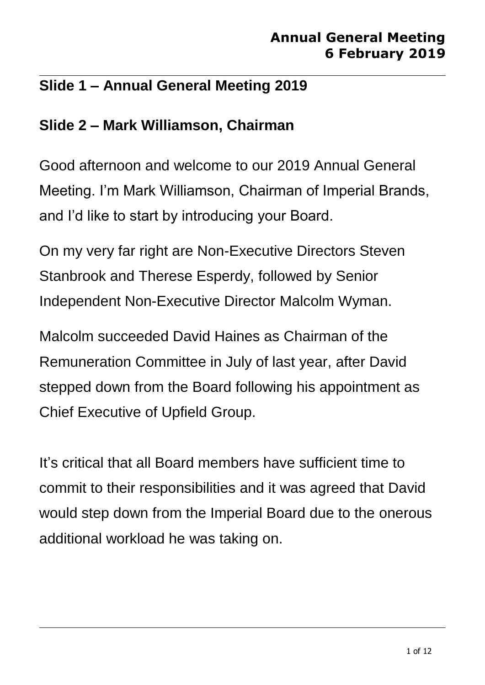### **Slide 1 – Annual General Meeting 2019**

#### **Slide 2 – Mark Williamson, Chairman**

Good afternoon and welcome to our 2019 Annual General Meeting. I'm Mark Williamson, Chairman of Imperial Brands, and I'd like to start by introducing your Board.

On my very far right are Non-Executive Directors Steven Stanbrook and Therese Esperdy, followed by Senior Independent Non-Executive Director Malcolm Wyman.

Malcolm succeeded David Haines as Chairman of the Remuneration Committee in July of last year, after David stepped down from the Board following his appointment as Chief Executive of Upfield Group.

It's critical that all Board members have sufficient time to commit to their responsibilities and it was agreed that David would step down from the Imperial Board due to the onerous additional workload he was taking on.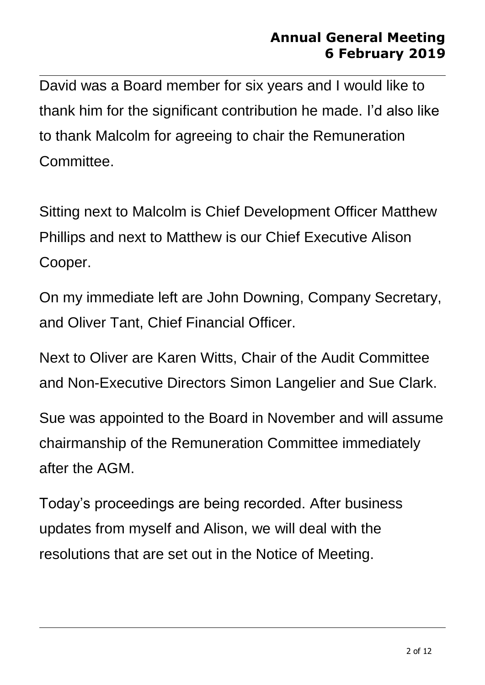David was a Board member for six years and I would like to thank him for the significant contribution he made. I'd also like to thank Malcolm for agreeing to chair the Remuneration Committee.

Sitting next to Malcolm is Chief Development Officer Matthew Phillips and next to Matthew is our Chief Executive Alison Cooper.

On my immediate left are John Downing, Company Secretary, and Oliver Tant, Chief Financial Officer.

Next to Oliver are Karen Witts, Chair of the Audit Committee and Non-Executive Directors Simon Langelier and Sue Clark.

Sue was appointed to the Board in November and will assume chairmanship of the Remuneration Committee immediately after the AGM.

Today's proceedings are being recorded. After business updates from myself and Alison, we will deal with the resolutions that are set out in the Notice of Meeting.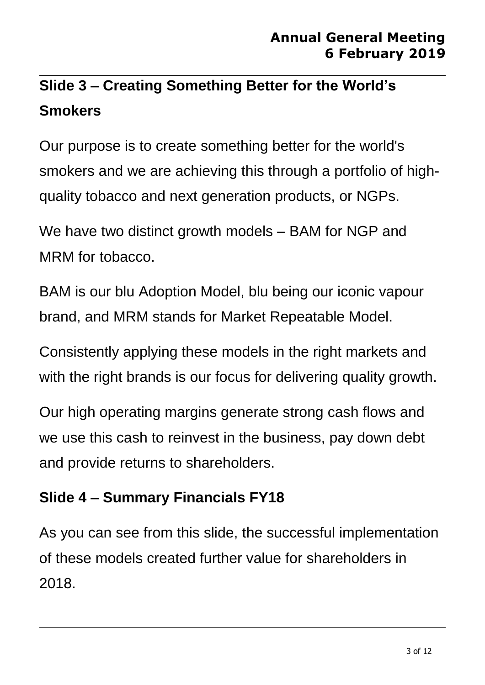# **Slide 3 – Creating Something Better for the World's Smokers**

Our purpose is to create something better for the world's smokers and we are achieving this through a portfolio of highquality tobacco and next generation products, or NGPs.

We have two distinct growth models – BAM for NGP and MRM for tobacco.

BAM is our blu Adoption Model, blu being our iconic vapour brand, and MRM stands for Market Repeatable Model.

Consistently applying these models in the right markets and with the right brands is our focus for delivering quality growth.

Our high operating margins generate strong cash flows and we use this cash to reinvest in the business, pay down debt and provide returns to shareholders.

## **Slide 4 – Summary Financials FY18**

As you can see from this slide, the successful implementation of these models created further value for shareholders in 2018.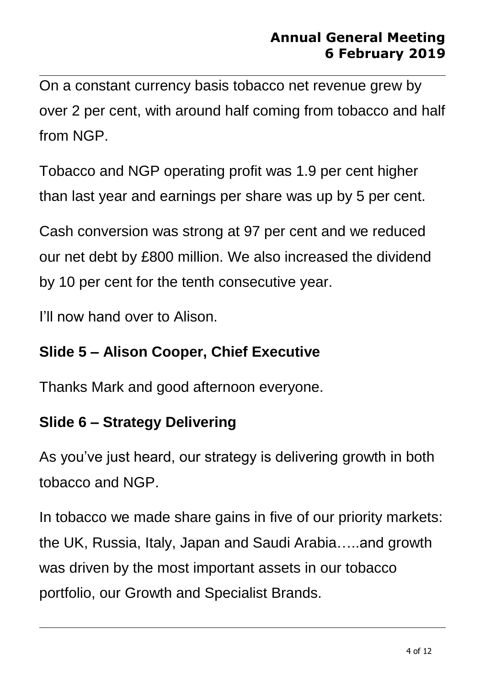On a constant currency basis tobacco net revenue grew by over 2 per cent, with around half coming from tobacco and half from NGP.

Tobacco and NGP operating profit was 1.9 per cent higher than last year and earnings per share was up by 5 per cent.

Cash conversion was strong at 97 per cent and we reduced our net debt by £800 million. We also increased the dividend by 10 per cent for the tenth consecutive year.

I'll now hand over to Alison.

#### **Slide 5 – Alison Cooper, Chief Executive**

Thanks Mark and good afternoon everyone.

## **Slide 6 – Strategy Delivering**

As you've just heard, our strategy is delivering growth in both tobacco and NGP.

In tobacco we made share gains in five of our priority markets: the UK, Russia, Italy, Japan and Saudi Arabia…..and growth was driven by the most important assets in our tobacco portfolio, our Growth and Specialist Brands.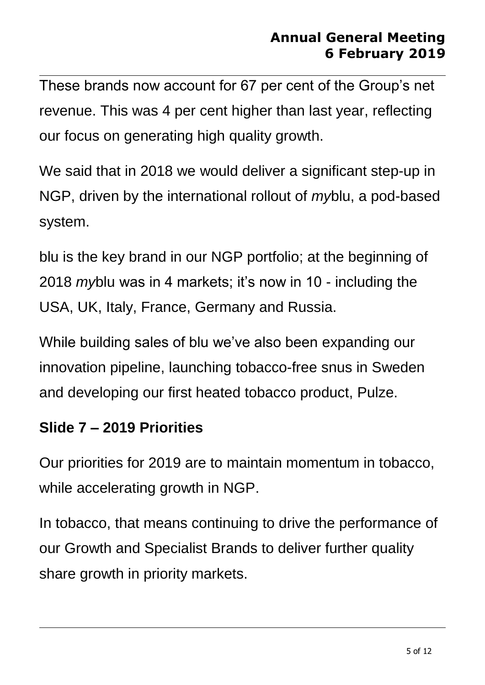These brands now account for 67 per cent of the Group's net revenue. This was 4 per cent higher than last year, reflecting our focus on generating high quality growth.

We said that in 2018 we would deliver a significant step-up in NGP, driven by the international rollout of *my*blu, a pod-based system.

blu is the key brand in our NGP portfolio; at the beginning of 2018 *my*blu was in 4 markets; it's now in 10 - including the USA, UK, Italy, France, Germany and Russia.

While building sales of blu we've also been expanding our innovation pipeline, launching tobacco-free snus in Sweden and developing our first heated tobacco product, Pulze.

#### **Slide 7 – 2019 Priorities**

Our priorities for 2019 are to maintain momentum in tobacco, while accelerating growth in NGP.

In tobacco, that means continuing to drive the performance of our Growth and Specialist Brands to deliver further quality share growth in priority markets.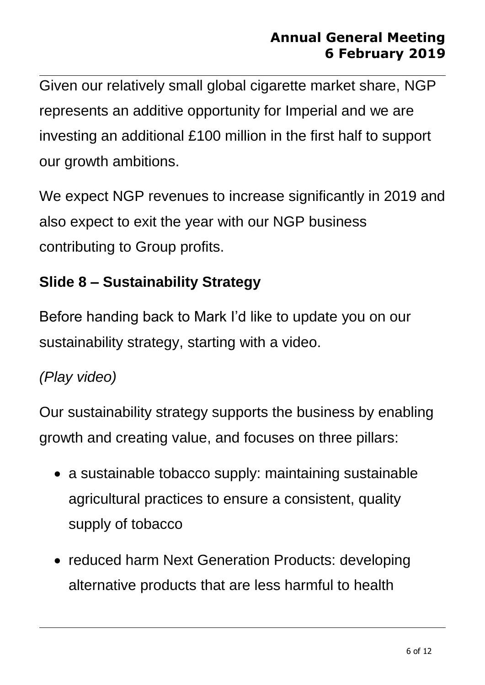Given our relatively small global cigarette market share, NGP represents an additive opportunity for Imperial and we are investing an additional £100 million in the first half to support our growth ambitions.

We expect NGP revenues to increase significantly in 2019 and also expect to exit the year with our NGP business contributing to Group profits.

## **Slide 8 – Sustainability Strategy**

Before handing back to Mark I'd like to update you on our sustainability strategy, starting with a video.

## *(Play video)*

Our sustainability strategy supports the business by enabling growth and creating value, and focuses on three pillars:

- a sustainable tobacco supply: maintaining sustainable agricultural practices to ensure a consistent, quality supply of tobacco
- reduced harm Next Generation Products: developing alternative products that are less harmful to health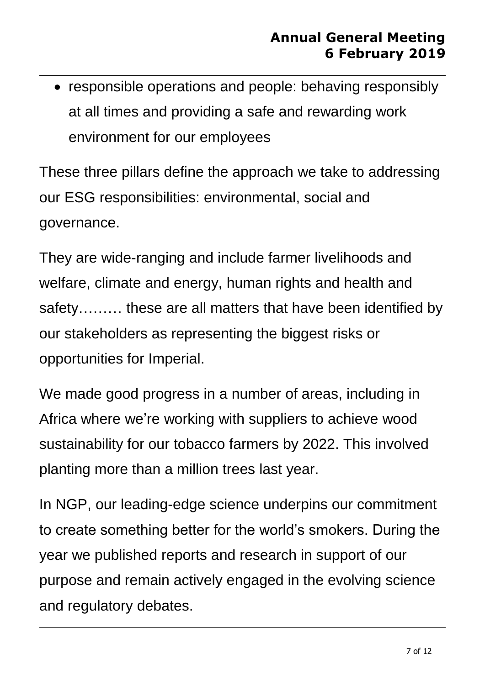• responsible operations and people: behaving responsibly at all times and providing a safe and rewarding work environment for our employees

These three pillars define the approach we take to addressing our ESG responsibilities: environmental, social and governance.

They are wide-ranging and include farmer livelihoods and welfare, climate and energy, human rights and health and safety……… these are all matters that have been identified by our stakeholders as representing the biggest risks or opportunities for Imperial.

We made good progress in a number of areas, including in Africa where we're working with suppliers to achieve wood sustainability for our tobacco farmers by 2022. This involved planting more than a million trees last year.

In NGP, our leading-edge science underpins our commitment to create something better for the world's smokers. During the year we published reports and research in support of our purpose and remain actively engaged in the evolving science and regulatory debates.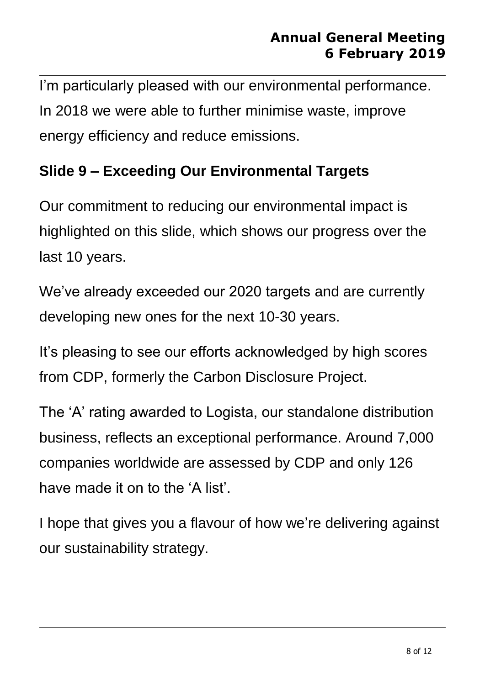I'm particularly pleased with our environmental performance. In 2018 we were able to further minimise waste, improve energy efficiency and reduce emissions.

### **Slide 9 – Exceeding Our Environmental Targets**

Our commitment to reducing our environmental impact is highlighted on this slide, which shows our progress over the last 10 years.

We've already exceeded our 2020 targets and are currently developing new ones for the next 10-30 years.

It's pleasing to see our efforts acknowledged by high scores from CDP, formerly the Carbon Disclosure Project.

The 'A' rating awarded to Logista, our standalone distribution business, reflects an exceptional performance. Around 7,000 companies worldwide are assessed by CDP and only 126 have made it on to the 'A list'.

I hope that gives you a flavour of how we're delivering against our sustainability strategy.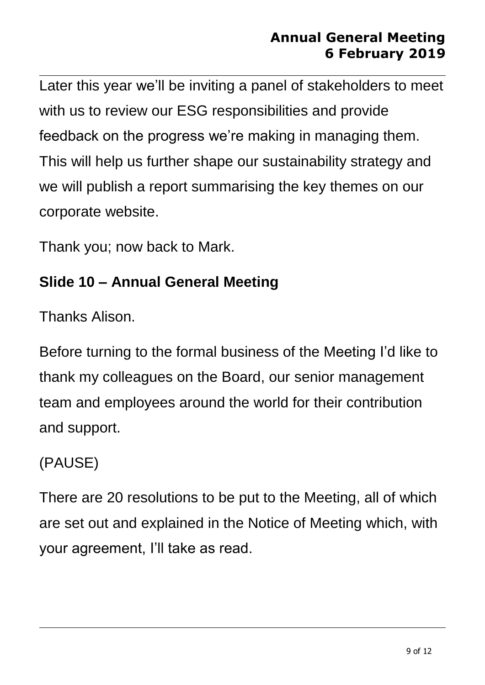Later this year we'll be inviting a panel of stakeholders to meet with us to review our ESG responsibilities and provide feedback on the progress we're making in managing them. This will help us further shape our sustainability strategy and we will publish a report summarising the key themes on our corporate website.

Thank you; now back to Mark.

### **Slide 10 – Annual General Meeting**

Thanks Alison.

Before turning to the formal business of the Meeting I'd like to thank my colleagues on the Board, our senior management team and employees around the world for their contribution and support.

## (PAUSE)

There are 20 resolutions to be put to the Meeting, all of which are set out and explained in the Notice of Meeting which, with your agreement, I'll take as read.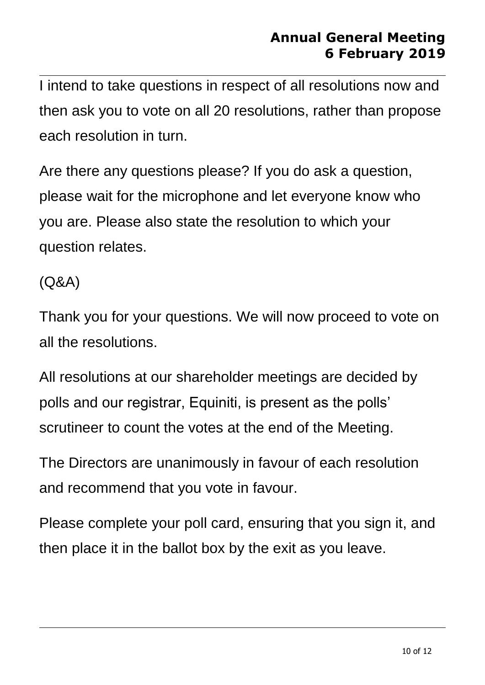I intend to take questions in respect of all resolutions now and then ask you to vote on all 20 resolutions, rather than propose each resolution in turn.

Are there any questions please? If you do ask a question, please wait for the microphone and let everyone know who you are. Please also state the resolution to which your question relates.

(Q&A)

Thank you for your questions. We will now proceed to vote on all the resolutions.

All resolutions at our shareholder meetings are decided by polls and our registrar, Equiniti, is present as the polls' scrutineer to count the votes at the end of the Meeting.

The Directors are unanimously in favour of each resolution and recommend that you vote in favour.

Please complete your poll card, ensuring that you sign it, and then place it in the ballot box by the exit as you leave.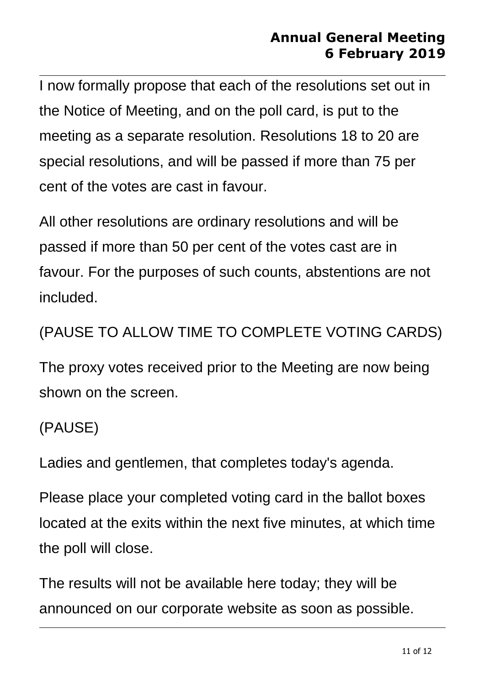I now formally propose that each of the resolutions set out in the Notice of Meeting, and on the poll card, is put to the meeting as a separate resolution. Resolutions 18 to 20 are special resolutions, and will be passed if more than 75 per cent of the votes are cast in favour.

All other resolutions are ordinary resolutions and will be passed if more than 50 per cent of the votes cast are in favour. For the purposes of such counts, abstentions are not included.

## (PAUSE TO ALLOW TIME TO COMPLETE VOTING CARDS)

The proxy votes received prior to the Meeting are now being shown on the screen.

#### (PAUSE)

Ladies and gentlemen, that completes today's agenda.

Please place your completed voting card in the ballot boxes located at the exits within the next five minutes, at which time the poll will close.

The results will not be available here today; they will be announced on our corporate website as soon as possible.